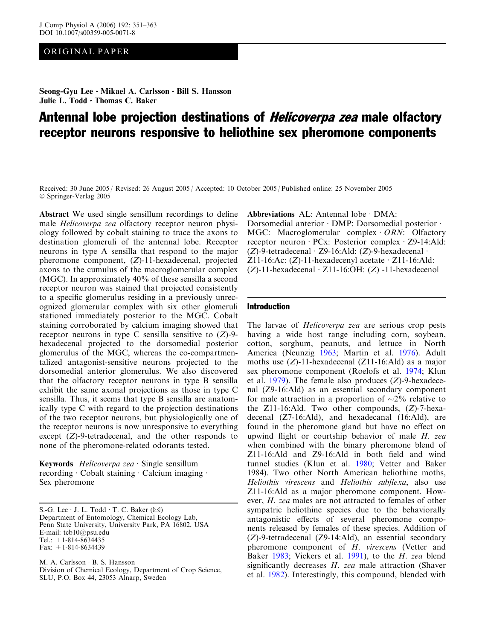# ORIGINAL PAPER

Seong-Gyu Lee  $\cdot$  Mikael A. Carlsson  $\cdot$  Bill S. Hansson Julie L.  $Todd \cdot Thomas C. Baker$ 

# Antennal lobe projection destinations of *Helicoverpa zea* male olfactory receptor neurons responsive to heliothine sex pheromone components

Received: 30 June 2005 / Revised: 26 August 2005 / Accepted: 10 October 2005 / Published online: 25 November 2005 Springer-Verlag 2005

Abstract We used single sensillum recordings to define male Helicoverpa zea olfactory receptor neuron physiology followed by cobalt staining to trace the axons to destination glomeruli of the antennal lobe. Receptor neurons in type A sensilla that respond to the major pheromone component, (Z)-11-hexadecenal, projected axons to the cumulus of the macroglomerular complex (MGC). In approximately 40% of these sensilla a second receptor neuron was stained that projected consistently to a specific glomerulus residing in a previously unrecognized glomerular complex with six other glomeruli stationed immediately posterior to the MGC. Cobalt staining corroborated by calcium imaging showed that receptor neurons in type C sensilla sensitive to  $(Z)$ -9hexadecenal projected to the dorsomedial posterior glomerulus of the MGC, whereas the co-compartmentalized antagonist-sensitive neurons projected to the dorsomedial anterior glomerulus. We also discovered that the olfactory receptor neurons in type B sensilla exhibit the same axonal projections as those in type C sensilla. Thus, it seems that type B sensilla are anatomically type C with regard to the projection destinations of the two receptor neurons, but physiologically one of the receptor neurons is now unresponsive to everything except  $(Z)$ -9-tetradecenal, and the other responds to none of the pheromone-related odorants tested.

Keywords Helicoverpa zea  $\cdot$  Single sensillum recording  $\cdot$  Cobalt staining  $\cdot$  Calcium imaging  $\cdot$ Sex pheromone

S.-G. Lee  $\cdot$  J. L. Todd  $\cdot$  T. C. Baker ( $\boxtimes$ ) Department of Entomology, Chemical Ecology Lab, Penn State University, University Park, PA 16802, USA E-mail: tcb10@psu.edu Tel.:  $+1-814-8634435$ Fax: +1-814-8634439

M. A. Carlsson · B. S. Hansson Division of Chemical Ecology, Department of Crop Science, SLU, P.O. Box 44, 23053 Alnarp, Sweden

Abbreviations  $AL:$  Antennal lobe  $\cdot$  DMA:

Dorsomedial anterior  $\cdot$  DMP: Dorsomedial posterior  $\cdot$ MGC: Macroglomerular complex  $ORN$ : Olfactory receptor neuron  $PCx$ : Posterior complex  $Z9-14$ :Ald:  $(Z)$ -9-tetradecenal · Z9-16:Ald:  $(Z)$ -9-hexadecenal ·  $Z11-16$ :Ac:  $(Z)$ -11-hexadecenyl acetate  $\cdot$  Z11-16:Ald:  $(Z)$ -11-hexadecenal  $Z11$ -16:OH:  $(Z)$ -11-hexadecenol

## Introduction

The larvae of Helicoverpa zea are serious crop pests having a wide host range including corn, soybean, cotton, sorghum, peanuts, and lettuce in North America (Neunzig [1963](#page-12-0); Martin et al. [1976\)](#page-12-0). Adult moths use  $(Z)$ -11-hexadecenal  $(Z11$ -16:Ald) as a major sex pheromone component (Roelofs et al. [1974](#page-12-0); Klun et al.  $1979$ ). The female also produces (Z)-9-hexadecenal (Z9-16:Ald) as an essential secondary component for male attraction in a proportion of  $\sim 2\%$  relative to the Z11-16:Ald. Two other compounds, (Z)-7-hexadecenal (Z7-16:Ald), and hexadecanal (16:Ald), are found in the pheromone gland but have no effect on upwind flight or courtship behavior of male H. zea when combined with the binary pheromone blend of Z11-16:Ald and Z9-16:Ald in both field and wind tunnel studies (Klun et al. [1980](#page-12-0); Vetter and Baker [1984\)](#page-12-0). Two other North American heliothine moths, Heliothis virescens and Heliothis subflexa, also use Z11-16:Ald as a major pheromone component. However, H. zea males are not attracted to females of other sympatric heliothine species due to the behaviorally antagonistic effects of several pheromone components released by females of these species. Addition of (Z)-9-tetradecenal (Z9-14:Ald), an essential secondary pheromone component of H. virescens (Vetter and Baker [1983](#page-12-0); Vickers et al. [1991](#page-12-0)), to the H. zea blend significantly decreases  $H$ . zea male attraction (Shaver et al. [1982\)](#page-12-0). Interestingly, this compound, blended with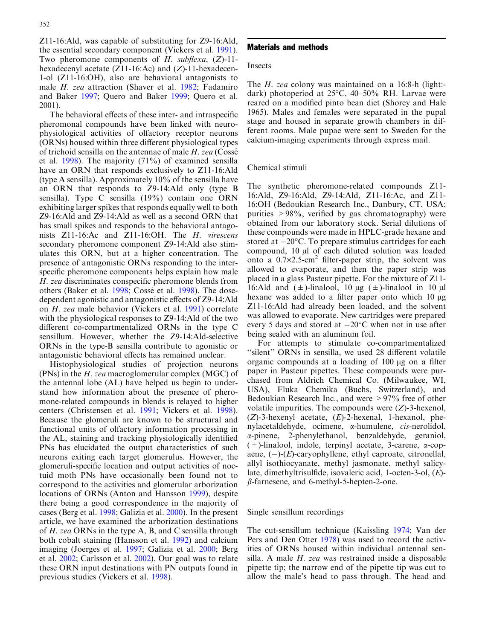Z11-16:Ald, was capable of substituting for Z9-16:Ald, the essential secondary component (Vickers et al. [1991\)](#page-12-0). Two pheromone components of H. subflexa,  $(Z)$ -11hexadecenyl acetate  $(Z11-16:Ac)$  and  $(Z)-11$ -hexadecen-1-ol (Z11-16:OH), also are behavioral antagonists to male H. zea attraction (Shaver et al. [1982](#page-12-0); Fadamiro and Baker [1997;](#page-12-0) Quero and Baker [1999](#page-12-0); Quero et al. [2001](#page-12-0)).

The behavioral effects of these inter- and intraspecific pheromonal compounds have been linked with neurophysiological activities of olfactory receptor neurons (ORNs) housed within three different physiological types of trichoid sensilla on the antennae of male  $H$ . zea (Cossé et al. [1998](#page-12-0)). The majority (71%) of examined sensilla have an ORN that responds exclusively to Z11-16:Ald (type A sensilla). Approximately 10% of the sensilla have an ORN that responds to Z9-14:Ald only (type B sensilla). Type C sensilla (19%) contain one ORN exhibiting larger spikes that responds equally well to both Z9-16:Ald and Z9-14:Ald as well as a second ORN that has small spikes and responds to the behavioral antagonists Z11-16:Ac and Z11-16:OH. The H. virescens secondary pheromone component Z9-14:Ald also stimulates this ORN, but at a higher concentration. The presence of antagonistic ORNs responding to the interspecific pheromone components helps explain how male H. zea discriminates conspecific pheromone blends from others (Baker et al. [1998;](#page-11-0) Cossé et al. [1998\)](#page-12-0). The dosedependent agonistic and antagonistic effects of Z9-14:Ald on H. zea male behavior (Vickers et al. [1991\)](#page-12-0) correlate with the physiological responses to Z9-14:Ald of the two different co-compartmentalized ORNs in the type C sensillum. However, whether the Z9-14:Ald-selective ORNs in the type-B sensilla contribute to agonistic or antagonistic behavioral effects has remained unclear.

Histophysiological studies of projection neurons (PNs) in the H. zea macroglomerular complex (MGC) of the antennal lobe (AL) have helped us begin to understand how information about the presence of pheromone-related compounds in blends is relayed to higher centers (Christensen et al. [1991;](#page-12-0) Vickers et al. [1998\)](#page-12-0). Because the glomeruli are known to be structural and functional units of olfactory information processing in the AL, staining and tracking physiologically identified PNs has elucidated the output characteristics of such neurons exiting each target glomerulus. However, the glomeruli-specific location and output activities of noctuid moth PNs have occasionally been found not to correspond to the activities and glomerular arborization locations of ORNs (Anton and Hansson [1999](#page-11-0)), despite there being a good correspondence in the majority of cases (Berg et al. [1998;](#page-11-0) Galizia et al. [2000](#page-12-0)). In the present article, we have examined the arborization destinations of H. zea ORNs in the type A, B, and C sensilla through both cobalt staining (Hansson et al. [1992\)](#page-12-0) and calcium imaging (Joerges et al. [1997](#page-12-0); Galizia et al. [2000;](#page-12-0) Berg et al. [2002](#page-11-0); Carlsson et al. [2002](#page-12-0)). Our goal was to relate these ORN input destinations with PN outputs found in previous studies (Vickers et al. [1998\)](#page-12-0).

## Materials and methods

## Insects

The *H. zea* colony was maintained on a 16:8-h (light:dark) photoperiod at 25°C, 40–50% RH. Larvae were reared on a modified pinto bean diet (Shorey and Hale [1965\)](#page-12-0). Males and females were separated in the pupal stage and housed in separate growth chambers in different rooms. Male pupae were sent to Sweden for the calcium-imaging experiments through express mail.

## Chemical stimuli

The synthetic pheromone-related compounds Z11- 16:Ald, Z9-16:Ald, Z9-14:Ald, Z11-16:Ac, and Z11- 16:OH (Bedoukian Research Inc., Danbury, CT, USA; purities  $>98\%$ , verified by gas chromatography) were obtained from our laboratory stock. Serial dilutions of these compounds were made in HPLC-grade hexane and stored at  $-20^{\circ}$ C. To prepare stimulus cartridges for each compound, 10 µl of each diluted solution was loaded onto a  $0.7\times2.5$ -cm<sup>2</sup> filter-paper strip, the solvent was allowed to evaporate, and then the paper strip was placed in a glass Pasteur pipette. For the mixture of Z11- 16:Ald and  $(\pm)$ -linalool, 10 µg  $(\pm)$ -linalool in 10 µl hexane was added to a filter paper onto which  $10 \mu$ g Z11-16:Ald had already been loaded, and the solvent was allowed to evaporate. New cartridges were prepared every 5 days and stored at  $-20^{\circ}$ C when not in use after being sealed with an aluminum foil.

For attempts to stimulate co-compartmentalized "silent" ORNs in sensilla, we used 28 different volatile organic compounds at a loading of  $100 \mu$ g on a filter paper in Pasteur pipettes. These compounds were purchased from Aldrich Chemical Co. (Milwaukee, WI, USA), Fluka Chemika (Buchs, Switzerland), and Bedoukian Research Inc., and were >97% free of other volatile impurities. The compounds were (Z)-3-hexenol,  $(Z)$ -3-hexenyl acetate,  $(E)$ -2-hexenal, 1-hexanol, phenylacetaldehyde, ocimene,  $\alpha$ -humulene, *cis*-nerolidol, a-pinene, 2-phenylethanol, benzaldehyde, geraniol,  $(\pm)$ -linalool, indole, terpinyl acetate, 3-carene,  $\alpha$ -copaene,  $(-)$ - $(E)$ -caryophyllene, ethyl caproate, citronellal, allyl isothiocyanate, methyl jasmonate, methyl salicylate, dimethyltrisulfide, isovaleric acid, 1-octen-3-ol, (E)-  $\beta$ -farnesene, and 6-methyl-5-hepten-2-one.

# Single sensillum recordings

The cut-sensillum technique (Kaissling [1974;](#page-12-0) Van der Pers and Den Otter [1978](#page-12-0)) was used to record the activities of ORNs housed within individual antennal sensilla. A male H. zea was restrained inside a disposable pipette tip; the narrow end of the pipette tip was cut to allow the male's head to pass through. The head and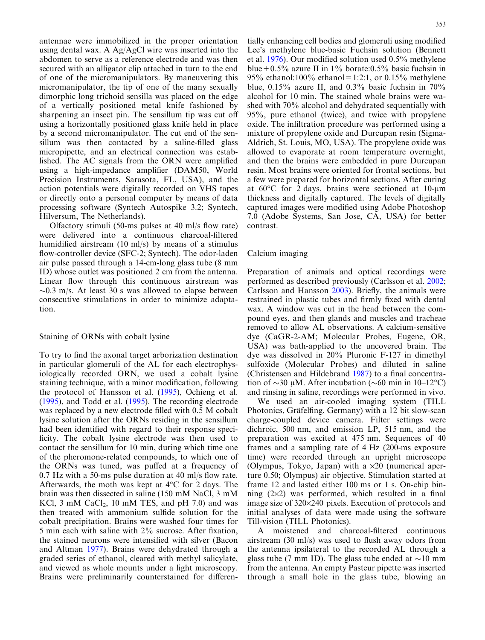antennae were immobilized in the proper orientation using dental wax. A Ag/AgCl wire was inserted into the abdomen to serve as a reference electrode and was then secured with an alligator clip attached in turn to the end of one of the micromanipulators. By maneuvering this micromanipulator, the tip of one of the many sexually dimorphic long trichoid sensilla was placed on the edge of a vertically positioned metal knife fashioned by sharpening an insect pin. The sensillum tip was cut off using a horizontally positioned glass knife held in place by a second micromanipulator. The cut end of the sensillum was then contacted by a saline-filled glass micropipette, and an electrical connection was established. The AC signals from the ORN were amplified using a high-impedance amplifier (DAM50, World Precision Instruments, Sarasota, FL, USA), and the action potentials were digitally recorded on VHS tapes or directly onto a personal computer by means of data processing software (Syntech Autospike 3.2; Syntech, Hilversum, The Netherlands).

Olfactory stimuli (50-ms pulses at 40 ml/s flow rate) were delivered into a continuous charcoal-filtered humidified airstream (10 ml/s) by means of a stimulus flow-controller device (SFC-2; Syntech). The odor-laden air pulse passed through a 14-cm-long glass tube (8 mm ID) whose outlet was positioned 2 cm from the antenna. Linear flow through this continuous airstream was  $\sim$ 0.3 m/s. At least 30 s was allowed to elapse between consecutive stimulations in order to minimize adaptation.

#### Staining of ORNs with cobalt lysine

To try to find the axonal target arborization destination in particular glomeruli of the AL for each electrophysiologically recorded ORN, we used a cobalt lysine staining technique, with a minor modification, following the protocol of Hansson et al. ([1995](#page-12-0)), Ochieng et al. ([1995\)](#page-12-0), and Todd et al. ([1995\)](#page-12-0). The recording electrode was replaced by a new electrode filled with 0.5 M cobalt lysine solution after the ORNs residing in the sensillum had been identified with regard to their response specificity. The cobalt lysine electrode was then used to contact the sensillum for 10 min, during which time one of the pheromone-related compounds, to which one of the ORNs was tuned, was puffed at a frequency of 0.7 Hz with a 50-ms pulse duration at 40 ml/s flow rate. Afterwards, the moth was kept at  $4^{\circ}$ C for 2 days. The brain was then dissected in saline (150 mM NaCl, 3 mM KCl, 3 mM CaCl<sub>2</sub>, 10 mM TES, and pH 7.0) and was then treated with ammonium sulfide solution for the cobalt precipitation. Brains were washed four times for 5 min each with saline with 2% sucrose. After fixation, the stained neurons were intensified with silver (Bacon and Altman [1977\)](#page-11-0). Brains were dehydrated through a graded series of ethanol, cleared with methyl salicylate, and viewed as whole mounts under a light microscopy. Brains were preliminarily counterstained for differen-

tially enhancing cell bodies and glomeruli using modified Lee's methylene blue-basic Fuchsin solution (Bennett et al. [1976](#page-11-0)). Our modified solution used 0.5% methylene blue + 0.5% azure II in 1% borate:0.5% basic fuchsin in 95% ethanol:100% ethanol=1:2:1, or 0.15% methylene blue, 0.15% azure II, and 0.3% basic fuchsin in 70% alcohol for 10 min. The stained whole brains were washed with 70% alcohol and dehydrated sequentially with 95%, pure ethanol (twice), and twice with propylene oxide. The infiltration procedure was performed using a mixture of propylene oxide and Durcupan resin (Sigma-Aldrich, St. Louis, MO, USA). The propylene oxide was allowed to evaporate at room temperature overnight, and then the brains were embedded in pure Durcupan resin. Most brains were oriented for frontal sections, but a few were prepared for horizontal sections. After curing at  $60^{\circ}$ C for 2 days, brains were sectioned at 10-µm thickness and digitally captured. The levels of digitally captured images were modified using Adobe Photoshop 7.0 (Adobe Systems, San Jose, CA, USA) for better contrast.

## Calcium imaging

Preparation of animals and optical recordings were performed as described previously (Carlsson et al. [2002](#page-12-0); Carlsson and Hansson [2003](#page-12-0)). Briefly, the animals were restrained in plastic tubes and firmly fixed with dental wax. A window was cut in the head between the compound eyes, and then glands and muscles and tracheae removed to allow AL observations. A calcium-sensitive dye (CaGR-2-AM; Molecular Probes, Eugene, OR, USA) was bath-applied to the uncovered brain. The dye was dissolved in 20% Pluronic F-127 in dimethyl sulfoxide (Molecular Probes) and diluted in saline (Christensen and Hildebrand [1987\)](#page-12-0) to a final concentration of  $\sim$ 30 µM. After incubation ( $\sim$ 60 min in 10–12°C) and rinsing in saline, recordings were performed in vivo.

We used an air-cooled imaging system (TILL Photonics, Gräfelfing, Germany) with a 12 bit slow-scan charge-coupled device camera. Filter settings were dichroic, 500 nm, and emission LP, 515 nm, and the preparation was excited at 475 nm. Sequences of 40 frames and a sampling rate of 4 Hz (200-ms exposure time) were recorded through an upright microscope (Olympus, Tokyo, Japan) with a  $\times 20$  (numerical aperture 0.50; Olympus) air objective. Stimulation started at frame 12 and lasted either 100 ms or 1 s. On-chip binning  $(2\times2)$  was performed, which resulted in a final image size of  $320\times240$  pixels. Execution of protocols and initial analyses of data were made using the software Till-vision (TILL Photonics).

A moistened and charcoal-filtered continuous airstream (30 ml/s) was used to flush away odors from the antenna ipsilateral to the recorded AL through a glass tube (7 mm ID). The glass tube ended at  $\sim$ 10 mm from the antenna. An empty Pasteur pipette was inserted through a small hole in the glass tube, blowing an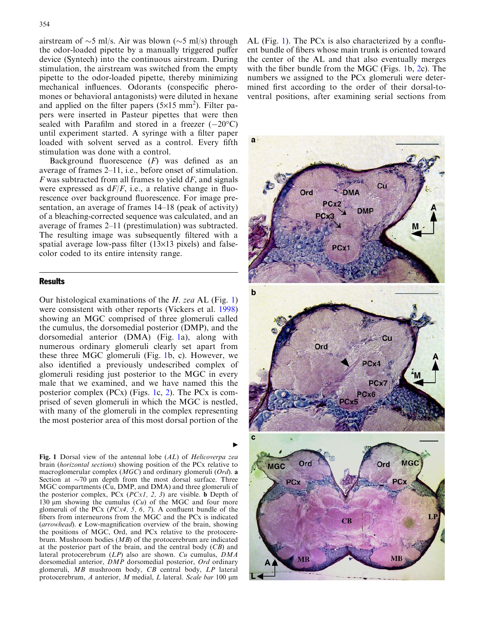<span id="page-3-0"></span>airstream of  $\sim$ 5 ml/s. Air was blown ( $\sim$ 5 ml/s) through the odor-loaded pipette by a manually triggered puffer device (Syntech) into the continuous airstream. During stimulation, the airstream was switched from the empty pipette to the odor-loaded pipette, thereby minimizing mechanical influences. Odorants (conspecific pheromones or behavioral antagonists) were diluted in hexane and applied on the filter papers  $(5\times15 \text{ mm}^2)$ . Filter papers were inserted in Pasteur pipettes that were then sealed with Parafilm and stored in a freezer  $(-20^{\circ}C)$ until experiment started. A syringe with a filter paper loaded with solvent served as a control. Every fifth stimulation was done with a control.

Background fluorescence  $(F)$  was defined as an average of frames 2–11, i.e., before onset of stimulation.  $F$  was subtracted from all frames to yield  $dF$ , and signals were expressed as  $dF/F$ , i.e., a relative change in fluorescence over background fluorescence. For image presentation, an average of frames 14–18 (peak of activity) of a bleaching-corrected sequence was calculated, and an average of frames 2–11 (prestimulation) was subtracted. The resulting image was subsequently filtered with a spatial average low-pass filter  $(13\times13)$  pixels) and falsecolor coded to its entire intensity range.

## **Results**

Our histological examinations of the  $H$ . zea AL (Fig. 1) were consistent with other reports (Vickers et al. [1998\)](#page-12-0) showing an MGC comprised of three glomeruli called the cumulus, the dorsomedial posterior (DMP), and the dorsomedial anterior (DMA) (Fig. 1a), along with numerous ordinary glomeruli clearly set apart from these three MGC glomeruli (Fig. 1b, c). However, we also identified a previously undescribed complex of glomeruli residing just posterior to the MGC in every male that we examined, and we have named this the posterior complex (PCx) (Figs. 1c, [2](#page-4-0)). The PCx is comprised of seven glomeruli in which the MGC is nestled, with many of the glomeruli in the complex representing the most posterior area of this most dorsal portion of the

Fig. 1 Dorsal view of the antennal lobe (AL) of Helicoverpa zea brain (horizontal sections) showing position of the PCx relative to macroglomerular complex (MGC) and ordinary glomeruli (Ord). a Section at  $\sim$ 70  $\mu$ m depth from the most dorsal surface. Three MGC compartments (Cu, DMP, and DMA) and three glomeruli of the posterior complex, PCx  $(PCx1, 2, 3)$  are visible. **b** Depth of 130  $\mu$ m showing the cumulus (Cu) of the MGC and four more glomeruli of the PCx  $(PCx4, 5, 6, 7)$ . A confluent bundle of the fibers from interneurons from the MGC and the PCx is indicated (arrowhead). c Low-magnification overview of the brain, showing the positions of MGC, Ord, and PCx relative to the protocerebrum. Mushroom bodies (MB) of the protocerebrum are indicated at the posterior part of the brain, and the central body  $(CB)$  and lateral protocerebrum (LP) also are shown. Cu cumulus, DMA dorsomedial anterior,  $\hat{D}M\hat{P}$  dorsomedial posterior, Ord ordinary glomeruli, MB mushroom body, CB central body, LP lateral protocerebrum, A anterior, M medial, L lateral. Scale bar 100 µm

AL (Fig. 1). The PCx is also characterized by a confluent bundle of fibers whose main trunk is oriented toward the center of the AL and that also eventually merges with the fiber bundle from the MGC (Figs. 1b, [2c](#page-4-0)). The numbers we assigned to the PCx glomeruli were determined first according to the order of their dorsal-toventral positions, after examining serial sections from

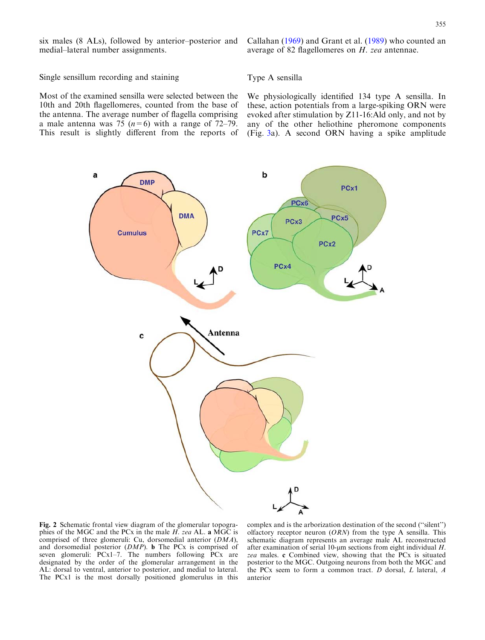<span id="page-4-0"></span>six males (8 ALs), followed by anterior–posterior and medial–lateral number assignments.

Callahan ([1969](#page-12-0)) and Grant et al. [\(1989](#page-12-0)) who counted an average of 82 flagellomeres on H. zea antennae.

Single sensillum recording and staining

Type A sensilla

Most of the examined sensilla were selected between the 10th and 20th flagellomeres, counted from the base of the antenna. The average number of flagella comprising a male antenna was 75 ( $n=6$ ) with a range of 72–79. This result is slightly different from the reports of

We physiologically identified 134 type A sensilla. In these, action potentials from a large-spiking ORN were evoked after stimulation by Z11-16:Ald only, and not by any of the other heliothine pheromone components (Fig. [3a](#page-5-0)). A second ORN having a spike amplitude



Fig. 2 Schematic frontal view diagram of the glomerular topographies of the MGC and the PCx in the male  $H$ . zea AL. a MGC is comprised of three glomeruli: Cu, dorsomedial anterior (DMA), and dorsomedial posterior (DMP). b The PCx is comprised of seven glomeruli: PCx1–7. The numbers following PCx are designated by the order of the glomerular arrangement in the AL: dorsal to ventral, anterior to posterior, and medial to lateral. The PCx1 is the most dorsally positioned glomerulus in this complex and is the arborization destination of the second (''silent'') olfactory receptor neuron  $(ORN)$  from the type A sensilla. This schematic diagram represents an average male AL reconstructed after examination of serial 10-um sections from eight individual  $H$ . zea males. c Combined view, showing that the PCx is situated posterior to the MGC. Outgoing neurons from both the MGC and the PCx seem to form a common tract. D dorsal, L lateral, A anterior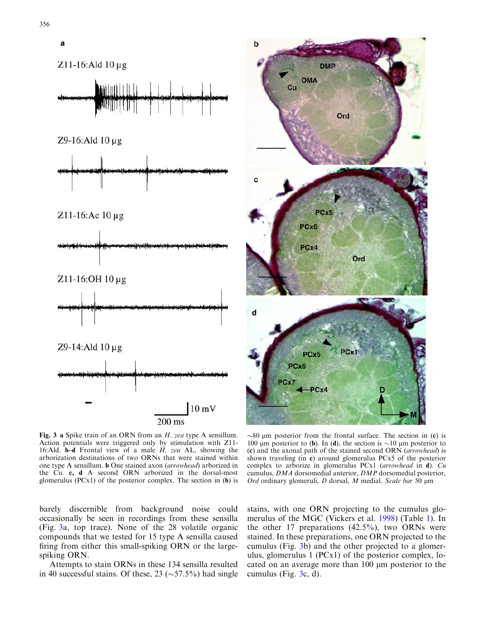<span id="page-5-0"></span>



Fig. 3 a Spike train of an ORN from an H. zea type A sensillum. Action potentials were triggered only by stimulation with Z11- 16:Ald. **b–d** Frontal view of a male  $H$ , zea AL, showing the arborization destinations of two ORNs that were stained within one type A sensillum. b One stained axon (arrowhead) arborized in the Cu. c, d A second ORN arborized in the dorsal-most glomerulus (PCx1) of the posterior complex. The section in (b) is

barely discernible from background noise could occasionally be seen in recordings from these sensilla (Fig. 3a, top trace). None of the 28 volatile organic compounds that we tested for 15 type A sensilla caused firing from either this small-spiking ORN or the largespiking ORN.

Attempts to stain ORNs in these 134 sensilla resulted in 40 successful stains. Of these, 23 ( $\sim$  57.5%) had single

 $\sim$ 80 µm posterior from the frontal surface. The section in (c) is 100  $\mu$ m posterior to (b). In (d), the section is  $\sim$ 10  $\mu$ m posterior to (c) and the axonal path of the stained second ORN (arrowhead) is shown traveling (in c) around glomerulus PCx5 of the posterior complex to arborize in glomerulus PCx1 (arrowhead in d). Cu cumulus, DMA dorsomedial anterior, DMP dorsomedial posterior, Ord ordinary glomeruli,  $D$  dorsal,  $M$  medial. Scale bar 50  $\mu$ m

stains, with one ORN projecting to the cumulus glomerulus of the MGC (Vickers et al. [1998\)](#page-12-0) (Table [1\)](#page-6-0). In the other 17 preparations  $(42.5\%)$ , two ORNs were stained. In these preparations, one ORN projected to the cumulus (Fig. 3b) and the other projected to a glomerulus, glomerulus 1 (PCx1) of the posterior complex, located on an average more than  $100 \mu m$  posterior to the cumulus (Fig. 3c, d).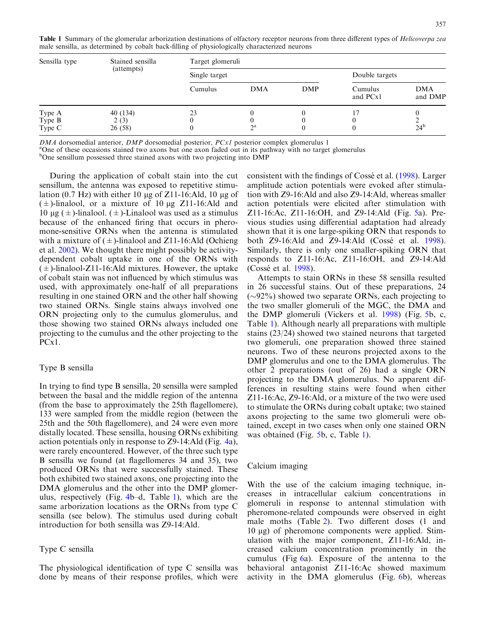<span id="page-6-0"></span>

| Sensilla type              | Stained sensilla<br>(attempts) | Target glomeruli |            |     |                     |                       |  |
|----------------------------|--------------------------------|------------------|------------|-----|---------------------|-----------------------|--|
|                            |                                | Single target    |            |     | Double targets      |                       |  |
|                            |                                | Cumulus          | <b>DMA</b> | DMP | Cumulus<br>and PCx1 | <b>DMA</b><br>and DMP |  |
| Type A<br>Type B<br>Type C | 40(134)<br>2(3)<br>26(58)      | 23               | $\gamma$ a |     |                     | $24^{b}$              |  |

 $DMA$  dorsomedial anterior,  $DMP$  dorsomedial posterior,  $PCxI$  posterior complex glomerulus 1

<sup>a</sup>One of these occasions stained two axons but one axon faded out in its pathway with no target glomerulus

<sup>b</sup>One sensillum possessed three stained axons with two projecting into DMP

During the application of cobalt stain into the cut sensillum, the antenna was exposed to repetitive stimulation  $(0.7 \text{ Hz})$  with either 10 µg of Z11-16:Ald, 10 µg of  $(\pm)$ -linalool, or a mixture of 10 µg Z11-16:Ald and 10 μg ( $\pm$ )-linalool. ( $\pm$ )-Linalool was used as a stimulus because of the enhanced firing that occurs in pheromone-sensitive ORNs when the antenna is stimulated with a mixture of  $(\pm)$ -linalool and Z11-16:Ald (Ochieng et al. [2002\)](#page-12-0). We thought there might possibly be activitydependent cobalt uptake in one of the ORNs with  $(\pm)$ -linalool-Z11-16:Ald mixtures. However, the uptake of cobalt stain was not influenced by which stimulus was used, with approximately one-half of all preparations resulting in one stained ORN and the other half showing two stained ORNs. Single stains always involved one ORN projecting only to the cumulus glomerulus, and those showing two stained ORNs always included one projecting to the cumulus and the other projecting to the PCx1.

# Type B sensilla

In trying to find type B sensilla, 20 sensilla were sampled between the basal and the middle region of the antenna (from the base to approximately the 25th flagellomere), 133 were sampled from the middle region (between the 25th and the 50th flagellomere), and 24 were even more distally located. These sensilla, housing ORNs exhibiting action potentials only in response to Z9-14:Ald (Fig. [4a](#page-7-0)), were rarely encountered. However, of the three such type B sensilla we found (at flagellomeres 34 and 35), two produced ORNs that were successfully stained. These both exhibited two stained axons, one projecting into the DMA glomerulus and the other into the DMP glomerulus, respectively (Fig. [4](#page-7-0)b–d, Table 1), which are the same arborization locations as the ORNs from type C sensilla (see below). The stimulus used during cobalt introduction for both sensilla was Z9-14:Ald.

# Type C sensilla

The physiological identification of type C sensilla was done by means of their response profiles, which were

consistent with the findings of Cossé et al. ([1998](#page-12-0)). Larger amplitude action potentials were evoked after stimulation with Z9-16:Ald and also Z9-14:Ald, whereas smaller action potentials were elicited after stimulation with Z11-16:Ac, Z11-16:OH, and Z9-14:Ald (Fig. [5](#page-8-0)a). Previous studies using differential adaptation had already shown that it is one large-spiking ORN that responds to both  $Z9-16$ : Ald and  $Z9-14$ : Ald  $(Cossé et al. 1998)$  $(Cossé et al. 1998)$ . Similarly, there is only one smaller-spiking ORN that responds to Z11-16:Ac, Z11-16:OH, and Z9-14:Ald (Cossé et al. [1998\)](#page-12-0).

Attempts to stain ORNs in these 58 sensilla resulted in 26 successful stains. Out of these preparations, 24  $(\sim 92\%)$  showed two separate ORNs, each projecting to the two smaller glomeruli of the MGC, the DMA and the DMP glomeruli (Vickers et al. [1998](#page-12-0)) (Fig. [5](#page-8-0)b, c, Table 1). Although nearly all preparations with multiple stains (23/24) showed two stained neurons that targeted two glomeruli, one preparation showed three stained neurons. Two of these neurons projected axons to the DMP glomerulus and one to the DMA glomerulus. The other 2 preparations (out of 26) had a single ORN projecting to the DMA glomerulus. No apparent differences in resulting stains were found when either Z11-16:Ac, Z9-16:Ald, or a mixture of the two were used to stimulate the ORNs during cobalt uptake; two stained axons projecting to the same two glomeruli were obtained, except in two cases when only one stained ORN was obtained (Fig. [5b](#page-8-0), c, Table 1).

#### Calcium imaging

With the use of the calcium imaging technique, increases in intracellular calcium concentrations in glomeruli in response to antennal stimulation with pheromone-related compounds were observed in eight male moths (Table [2](#page-9-0)). Two different doses (1 and 10 μg) of pheromone components were applied. Stimulation with the major component, Z11-16:Ald, increased calcium concentration prominently in the cumulus (Fig [6](#page-9-0)a). Exposure of the antenna to the behavioral antagonist Z11-16:Ac showed maximum activity in the DMA glomerulus (Fig. [6b](#page-9-0)), whereas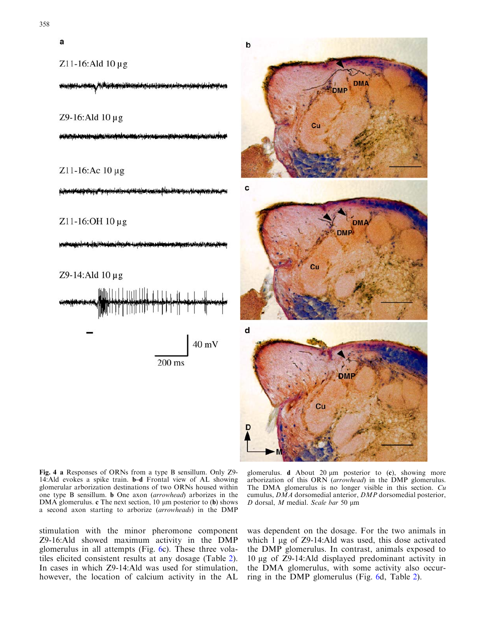<span id="page-7-0"></span>

Fig. 4 a Responses of ORNs from a type B sensillum. Only Z9- 14:Ald evokes a spike train. b–d Frontal view of AL showing glomerular arborization destinations of two ORNs housed within one type B sensillum. b One axon (arrowhead) arborizes in the DMA glomerulus.  $c$  The next section, 10  $\mu$ m posterior to (b) shows a second axon starting to arborize (arrowheads) in the DMP

glomerulus.  $d$  About 20  $\mu$ m posterior to (c), showing more arborization of this ORN (arrowhead) in the DMP glomerulus. The DMA glomerulus is no longer visible in this section. Cu cumulus, DMA dorsomedial anterior, DMP dorsomedial posterior,  $D$  dorsal,  $M$  medial. Scale bar 50  $\mu$ m

stimulation with the minor pheromone component Z9-16:Ald showed maximum activity in the DMP glomerulus in all attempts (Fig. [6](#page-9-0)c). These three volatiles elicited consistent results at any dosage (Table [2\)](#page-9-0). In cases in which Z9-14:Ald was used for stimulation, however, the location of calcium activity in the AL

was dependent on the dosage. For the two animals in which  $1 \mu$ g of  $Z<sub>9</sub>$ -14:Ald was used, this dose activated the DMP glomerulus. In contrast, animals exposed to 10 lg of Z9-14:Ald displayed predominant activity in the DMA glomerulus, with some activity also occurring in the DMP glomerulus (Fig. [6d](#page-9-0), Table [2\)](#page-9-0).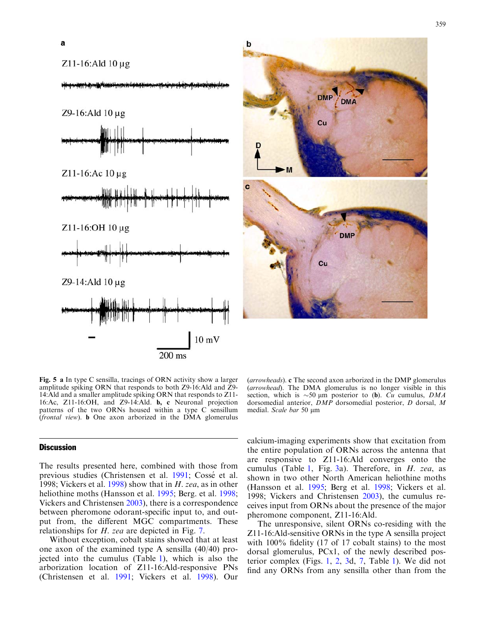<span id="page-8-0"></span>



Fig. 5 a In type C sensilla, tracings of ORN activity show a larger amplitude spiking ORN that responds to both Z9-16:Ald and Z9- 14:Ald and a smaller amplitude spiking ORN that responds to Z11- 16:Ac, Z11-16:OH, and Z9-14:Ald. b, c Neuronal projection patterns of the two ORNs housed within a type C sensillum (frontal view). b One axon arborized in the DMA glomerulus

# **Discussion**

The results presented here, combined with those from previous studies (Christensen et al. [1991](#page-12-0); Cossé et al. [1998](#page-12-0); Vickers et al. [1998](#page-12-0)) show that in H. zea, as in other heliothine moths (Hansson et al. [1995;](#page-12-0) Berg. et al. [1998](#page-11-0); Vickers and Christensen [2003](#page-12-0)), there is a correspondence between pheromone odorant-specific input to, and output from, the different MGC compartments. These relationships for H. zea are depicted in Fig. [7.](#page-10-0)

Without exception, cobalt stains showed that at least one axon of the examined type A sensilla (40/40) projected into the cumulus (Table [1\)](#page-6-0), which is also the arborization location of Z11-16:Ald-responsive PNs (Christensen et al. [1991](#page-12-0); Vickers et al. [1998\)](#page-12-0). Our

(arrowheads). c The second axon arborized in the DMP glomerulus (arrowhead). The DMA glomerulus is no longer visible in this section, which is  $\sim 50 \text{ µm}$  posterior to (b). Cu cumulus, DMA dorsomedial anterior, DMP dorsomedial posterior, D dorsal, M medial. Scale bar 50 µm

calcium-imaging experiments show that excitation from the entire population of ORNs across the antenna that are responsive to Z11-16:Ald converges onto the cumulus (Table [1,](#page-6-0) Fig.  $3a$  $3a$ ). Therefore, in H. zea, as shown in two other North American heliothine moths (Hansson et al. [1995;](#page-12-0) Berg et al. [1998](#page-11-0); Vickers et al. [1998;](#page-12-0) Vickers and Christensen [2003](#page-12-0)), the cumulus receives input from ORNs about the presence of the major pheromone component, Z11-16:Ald.

The unresponsive, silent ORNs co-residing with the Z11-16:Ald-sensitive ORNs in the type A sensilla project with 100% fidelity (17 of 17 cobalt stains) to the most dorsal glomerulus, PCx1, of the newly described posterior complex (Figs. [1,](#page-3-0) [2,](#page-4-0) [3](#page-5-0)d, [7,](#page-10-0) Table [1\)](#page-6-0). We did not find any ORNs from any sensilla other than from the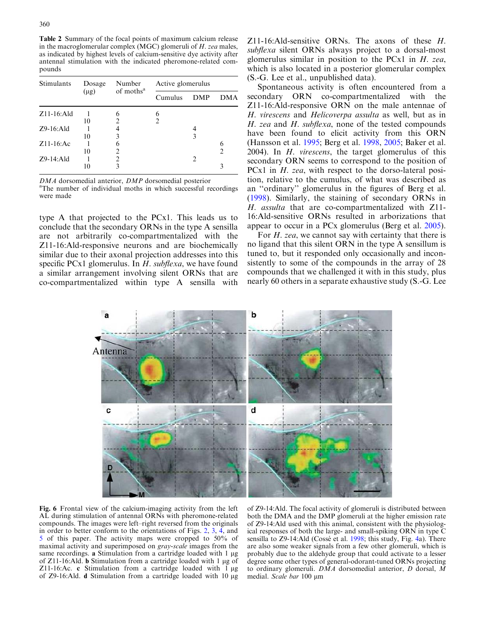<span id="page-9-0"></span>Table 2 Summary of the focal points of maximum calcium release in the macroglomerular complex (MGC) glomeruli of  $H$ . zea males, as indicated by highest levels of calcium-sensitive dye activity after antennal stimulation with the indicated pheromone-related compounds

| Stimulants     | Dosage<br>$(\mu g)$ | Number<br>of moths <sup>a</sup> | Active glomerulus |            |     |  |
|----------------|---------------------|---------------------------------|-------------------|------------|-----|--|
|                |                     |                                 | Cumulus           | <b>DMP</b> | DMA |  |
| $Z11-16$ : Ald |                     | 6                               | 6                 |            |     |  |
|                | 10                  |                                 | $\mathcal{D}$     |            |     |  |
| $Z9-16$ : Ald  |                     |                                 |                   |            |     |  |
|                | 10                  |                                 |                   | 3          |     |  |
| $Z11-16$ :Ac   |                     |                                 |                   |            | 6   |  |
|                | 10                  |                                 |                   |            | 2   |  |
| $Z9-14$ : Ald  |                     |                                 |                   | 2          |     |  |
|                | 10                  |                                 |                   |            | 3   |  |

 $DMA$  dorsomedial anterior,  $DMP$  dorsomedial posterior

<sup>a</sup>The number of individual moths in which successful recordings were made

type A that projected to the PCx1. This leads us to conclude that the secondary ORNs in the type A sensilla are not arbitrarily co-compartmentalized with the Z11-16:Ald-responsive neurons and are biochemically similar due to their axonal projection addresses into this specific PCx1 glomerulus. In  $H$ . subflexa, we have found a similar arrangement involving silent ORNs that are co-compartmentalized within type A sensilla with

Z11-16:Ald-sensitive ORNs. The axons of these H. subflexa silent ORNs always project to a dorsal-most glomerulus similar in position to the PCx1 in  $H$ . zea, which is also located in a posterior glomerular complex (S.-G. Lee et al., unpublished data).

Spontaneous activity is often encountered from a secondary ORN co-compartmentalized with the Z11-16:Ald-responsive ORN on the male antennae of H. virescens and Helicoverpa assulta as well, but as in H. zea and H. subflexa, none of the tested compounds have been found to elicit activity from this ORN (Hansson et al. [1995](#page-12-0); Berg et al. [1998](#page-11-0), [2005](#page-11-0); Baker et al. [2004\)](#page-11-0). In H. virescens, the target glomerulus of this secondary ORN seems to correspond to the position of PCx1 in *H. zea*, with respect to the dorso-lateral position, relative to the cumulus, of what was described as an ''ordinary'' glomerulus in the figures of Berg et al. ([1998](#page-11-0)). Similarly, the staining of secondary ORNs in H. assulta that are co-compartmentalized with Z11- 16:Ald-sensitive ORNs resulted in arborizations that appear to occur in a PCx glomerulus (Berg et al. [2005\)](#page-11-0).

For H. zea, we cannot say with certainty that there is no ligand that this silent ORN in the type A sensillum is tuned to, but it responded only occasionally and inconsistently to some of the compounds in the array of 28 compounds that we challenged it with in this study, plus nearly 60 others in a separate exhaustive study (S.-G. Lee



Fig. 6 Frontal view of the calcium-imaging activity from the left AL during stimulation of antennal ORNs with pheromone-related compounds. The images were left–right reversed from the originals in order to better conform to the orientations of Figs. [2,](#page-4-0) [3,](#page-5-0) [4](#page-7-0), and [5](#page-8-0) of this paper. The activity maps were cropped to 50% of maximal activity and superimposed on gray-scale images from the same recordings. a Stimulation from a cartridge loaded with  $1 \mu$ g of Z11-16:Ald. b Stimulation from a cartridge loaded with 1 µg of Z11-16:Ac. c Stimulation from a cartridge loaded with  $1 \mu$ g of Z9-16:Ald. **d** Stimulation from a cartridge loaded with 10 µg

of Z9-14:Ald. The focal activity of glomeruli is distributed between both the DMA and the DMP glomeruli at the higher emission rate of Z9-14:Ald used with this animal, consistent with the physiological responses of both the large- and small-spiking ORN in type C sensilla to Z9-14:Ald (Cossé et al. [1998;](#page-12-0) this study, Fig. [4a](#page-7-0)). There are also some weaker signals from a few other glomeruli, which is probably due to the aldehyde group that could activate to a lesser degree some other types of general-odorant-tuned ORNs projecting to ordinary glomeruli. DMA dorsomedial anterior, D dorsal, M medial. Scale bar 100 µm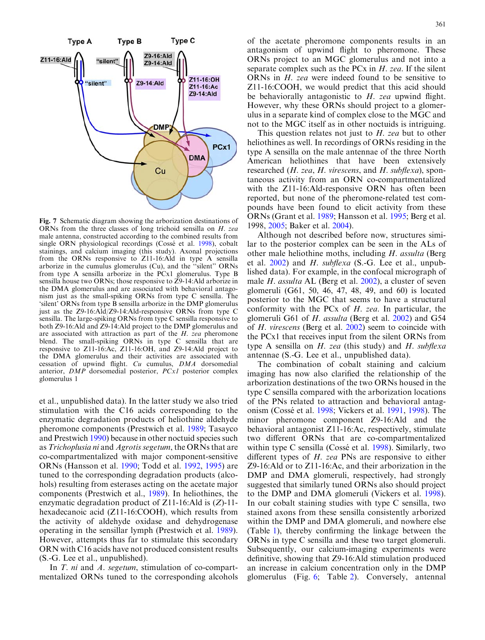<span id="page-10-0"></span>

Fig. 7 Schematic diagram showing the arborization destinations of ORNs from the three classes of long trichoid sensilla on H. zea male antenna, constructed according to the combined results from single ORN physiological recordings (Cossé et al. [1998](#page-12-0)), cobalt stainings, and calcium imaging (this study). Axonal projections from the ORNs responsive to Z11-16:Ald in type A sensilla arborize in the cumulus glomerulus (Cu), and the ''silent'' ORNs from type A sensilla arborize in the PCx1 glomerulus. Type B sensilla house two ORNs; those responsive to Z9-14:Ald arborize in the DMA glomerulus and are associated with behavioral antagonism just as the small-spiking ORNs from type C sensilla. The 'silent' ORNs from type B sensilla arborize in the DMP glomerulus just as the Z9-16:Ald/Z9-14:Ald-responsive ORNs from type C sensilla. The large-spiking ORNs from type C sensilla responsive to both Z9-16:Ald and Z9-14:Ald project to the DMP glomerulus and are associated with attraction as part of the H. zea pheromone blend. The small-spiking ORNs in type C sensilla that are responsive to Z11-16:Ac, Z11-16:OH, and Z9-14:Ald project to the DMA glomerulus and their activities are associated with cessation of upwind flight. Cu cumulus, DMA dorsomedial anterior, DMP dorsomedial posterior, PCx1 posterior complex glomerulus 1

et al., unpublished data). In the latter study we also tried stimulation with the C16 acids corresponding to the enzymatic degradation products of heliothine aldehyde pheromone components (Prestwich et al. [1989](#page-12-0); Tasayco and Prestwich [1990](#page-12-0)) because in other noctuid species such as Trichoplusia ni and Agrotis segetum, the ORNs that are co-compartmentalized with major component-sensitive ORNs (Hansson et al. [1990;](#page-12-0) Todd et al. [1992,](#page-12-0) [1995](#page-12-0)) are tuned to the corresponding degradation products (alcohols) resulting from esterases acting on the acetate major components (Prestwich et al., [1989](#page-12-0)). In heliothines, the enzymatic degradation product of Z11-16:Ald is (Z)-11 hexadecanoic acid (Z11-16:COOH), which results from the activity of aldehyde oxidase and dehydrogenase operating in the sensillar lymph (Prestwich et al. [1989\)](#page-12-0). However, attempts thus far to stimulate this secondary ORN with C16 acids have not produced consistent results (S.-G. Lee et al., unpublished).

In *T. ni* and *A. segetum*, stimulation of co-compartmentalized ORNs tuned to the corresponding alcohols

of the acetate pheromone components results in an antagonism of upwind flight to pheromone. These ORNs project to an MGC glomerulus and not into a separate complex such as the PCx in  $H$ . zea. If the silent ORNs in H. zea were indeed found to be sensitive to Z11-16:COOH, we would predict that this acid should be behaviorally antagonistic to  $H$ . zea upwind flight. However, why these ORNs should project to a glomerulus in a separate kind of complex close to the MGC and not to the MGC itself as in other noctuids is intriguing.

This question relates not just to  $H$ . zea but to other heliothines as well. In recordings of ORNs residing in the type A sensilla on the male antennae of the three North American heliothines that have been extensively researched (*H. zea, H. virescens, and H. subflexa*), spontaneous activity from an ORN co-compartmentalized with the Z11-16:Ald-responsive ORN has often been reported, but none of the pheromone-related test compounds have been found to elicit activity from these ORNs (Grant et al. [1989](#page-12-0); Hansson et al. [1995;](#page-12-0) Berg et al. [1998,](#page-11-0) [2005](#page-11-0); Baker et al. [2004](#page-11-0)).

Although not described before now, structures similar to the posterior complex can be seen in the ALs of other male heliothine moths, including  $H$ . assulta (Berg et al.  $2002$ ) and H. subflexa (S.-G. Lee et al., unpublished data). For example, in the confocal micrograph of male H. assulta AL (Berg et al.  $2002$ ), a cluster of seven glomeruli (G61, 50, 46, 47, 48, 49, and 60) is located posterior to the MGC that seems to have a structural conformity with the PC $x$  of  $H$ . zea. In particular, the glomeruli G61 of H. assulta (Berg et al. [2002](#page-11-0)) and G54 of H. virescens (Berg et al. [2002\)](#page-11-0) seem to coincide with the PCx1 that receives input from the silent ORNs from type A sensilla on  $H$ . zea (this study) and  $H$ . subflexa antennae (S.-G. Lee et al., unpublished data).

The combination of cobalt staining and calcium imaging has now also clarified the relationship of the arborization destinations of the two ORNs housed in the type C sensilla compared with the arborization locations of the PNs related to attraction and behavioral antag-onism (Cossé et al. [1998;](#page-12-0) Vickers et al. [1991,](#page-12-0) [1998](#page-12-0)). The minor pheromone component Z9-16:Ald and the behavioral antagonist Z11-16:Ac, respectively, stimulate two different ORNs that are co-compartmentalized within type C sensilla (Cossé et al. [1998\)](#page-12-0). Similarly, two different types of H. zea PNs are responsive to either Z9-16:Ald or to Z11-16:Ac, and their arborization in the DMP and DMA glomeruli, respectively, had strongly suggested that similarly tuned ORNs also should project to the DMP and DMA glomeruli (Vickers et al. [1998\)](#page-12-0). In our cobalt staining studies with type C sensilla, two stained axons from these sensilla consistently arborized within the DMP and DMA glomeruli, and nowhere else (Table [1\)](#page-6-0), thereby confirming the linkage between the ORNs in type C sensilla and these two target glomeruli. Subsequently, our calcium-imaging experiments were definitive, showing that Z9-16:Ald stimulation produced an increase in calcium concentration only in the DMP glomerulus (Fig. [6;](#page-9-0) Table [2](#page-9-0)). Conversely, antennal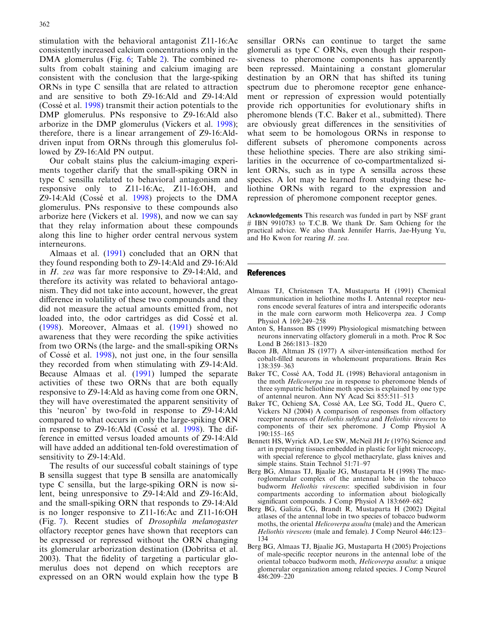<span id="page-11-0"></span>stimulation with the behavioral antagonist Z11-16:Ac consistently increased calcium concentrations only in the DMA glomerulus (Fig. [6;](#page-9-0) Table [2](#page-9-0)). The combined results from cobalt staining and calcium imaging are consistent with the conclusion that the large-spiking ORNs in type C sensilla that are related to attraction and are sensitive to both Z9-16:Ald and Z9-14:Ald (Cossé et al. [1998\)](#page-12-0) transmit their action potentials to the DMP glomerulus. PNs responsive to Z9-16:Ald also arborize in the DMP glomerulus (Vickers et al. [1998\)](#page-12-0); therefore, there is a linear arrangement of Z9-16:Alddriven input from ORNs through this glomerulus followed by Z9-16:Ald PN output.

Our cobalt stains plus the calcium-imaging experiments together clarify that the small-spiking ORN in type C sensilla related to behavioral antagonism and responsive only to Z11-16:Ac, Z11-16:OH, and Z9-14:Ald (Cossé et al.  $1998$ ) projects to the DMA glomerulus. PNs responsive to these compounds also arborize here (Vickers et al. [1998](#page-12-0)), and now we can say that they relay information about these compounds along this line to higher order central nervous system interneurons.

Almaas et al. (1991) concluded that an ORN that they found responding both to Z9-14:Ald and Z9-16:Ald in H. zea was far more responsive to Z9-14:Ald, and therefore its activity was related to behavioral antagonism. They did not take into account, however, the great difference in volatility of these two compounds and they did not measure the actual amounts emitted from, not loaded into, the odor cartridges as did Cossé et al. ([1998\)](#page-12-0). Moreover, Almaas et al. (1991) showed no awareness that they were recording the spike activities from two ORNs (the large- and the small-spiking ORNs of Cossé et al. [1998](#page-12-0)), not just one, in the four sensilla they recorded from when stimulating with Z9-14:Ald. Because Almaas et al. (1991) lumped the separate activities of these two ORNs that are both equally responsive to Z9-14:Ald as having come from one ORN, they will have overestimated the apparent sensitivity of this 'neuron' by two-fold in response to Z9-14:Ald compared to what occurs in only the large-spiking ORN in response to Z9-16:Ald (Cossé et al. [1998](#page-12-0)). The difference in emitted versus loaded amounts of Z9-14:Ald will have added an additional ten-fold overestimation of sensitivity to Z9-14:Ald.

The results of our successful cobalt stainings of type B sensilla suggest that type B sensilla are anatomically type C sensilla, but the large-spiking ORN is now silent, being unresponsive to Z9-14:Ald and Z9-16:Ald, and the small-spiking ORN that responds to Z9-14:Ald is no longer responsive to Z11-16:Ac and Z11-16:OH (Fig. [7](#page-10-0)). Recent studies of Drosophila melanogaster olfactory receptor genes have shown that receptors can be expressed or repressed without the ORN changing its glomerular arborization destination (Dobritsa et al. [2003](#page-12-0)). That the fidelity of targeting a particular glomerulus does not depend on which receptors are expressed on an ORN would explain how the type B

sensillar ORNs can continue to target the same glomeruli as type C ORNs, even though their responsiveness to pheromone components has apparently been repressed. Maintaining a constant glomerular destination by an ORN that has shifted its tuning spectrum due to pheromone receptor gene enhancement or repression of expression would potentially provide rich opportunities for evolutionary shifts in pheromone blends (T.C. Baker et al., submitted). There are obviously great differences in the sensitivities of what seem to be homologous ORNs in response to different subsets of pheromone components across these heliothine species. There are also striking similarities in the occurrence of co-compartmentalized silent ORNs, such as in type A sensilla across these species. A lot may be learned from studying these heliothine ORNs with regard to the expression and repression of pheromone component receptor genes.

Acknowledgements This research was funded in part by NSF grant # IBN 9910783 to T.C.B. We thank Dr. Sam Ochieng for the practical advice. We also thank Jennifer Harris, Jae-Hyung Yu, and Ho Kwon for rearing H. zea.

## **References**

- Almaas TJ, Christensen TA, Mustaparta H (1991) Chemical communication in heliothine moths I. Antennal receptor neurons encode several features of intra and interspecific odorants in the male corn earworm moth Helicoverpa zea. J Comp Physiol A 169:249–258
- Anton S, Hansson BS (1999) Physiological mismatching between neurons innervating olfactory glomeruli in a moth. Proc R Soc Lond B 266:1813–1820
- Bacon JB, Altman JS (1977) A silver-intensification method for cobalt-filled neurons in wholemount preparations. Brain Res 138:359–363
- Baker TC, Cossé AA, Todd JL (1998) Behavioral antagonism in the moth Helicoverpa zea in response to pheromone blends of three sympatric heliothine moth species is explained by one type of antennal neuron. Ann NY Acad Sci 855:511–513
- Baker TC, Ochieng SA, Cossé AA, Lee SG, Todd JL, Quero C, Vickers NJ (2004) A comparison of responses from olfactory receptor neurons of Heliothis subflexa and Heliothis virescens to components of their sex pheromone. J Comp Physiol A 190:155–165
- Bennett HS, Wyrick AD, Lee SW, McNeil JH Jr (1976) Science and art in preparing tissues embedded in plastic for light microcopy, with special reference to glycol methacrylate, glass knives and simple stains. Stain Technol 51:71–97
- Berg BG, Almaas TJ, Bjaalie JG, Mustaparta H (1998) The macroglomerular complex of the antennal lobe in the tobacco budworm Heliothis virescens: specified subdivision in four compartments according to information about biologically significant compounds. J Comp Physiol A  $183:669-682$
- Berg BG, Galizia CG, Brandt R, Mustaparta H (2002) Digital atlases of the antennal lobe in two species of tobacco budworm moths, the oriental *Helicoverpa assulta* (male) and the American Heliothis virescens (male and female). J Comp Neurol 446:123– 134
- Berg BG, Almaas TJ, Bjaalie JG, Mustaparta H (2005) Projections of male-specific receptor neurons in the antennal lobe of the oriental tobacco budworm moth, Helicoverpa assulta: a unique glomerular organization among related species. J Comp Neurol 486:209–220